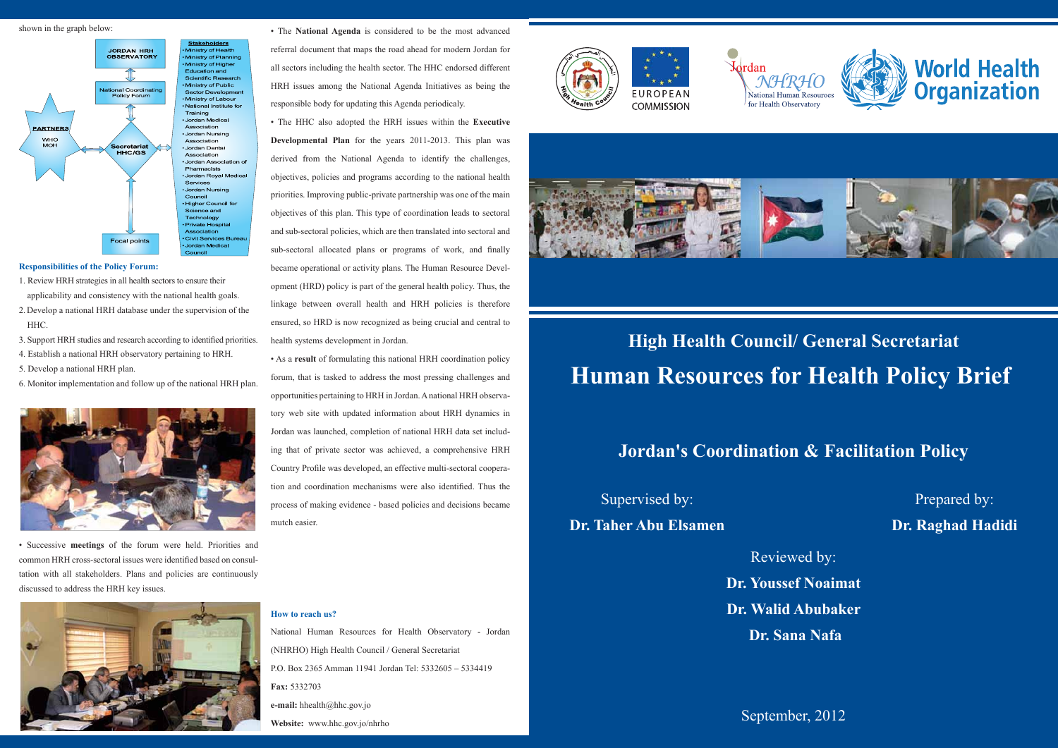# **High Health Council/ General Secretariat Human Resources for Health Policy Brief**

**Jordan's Coordination & Facilitation Policy**

September, 2012





## Supervised by:

### **Dr. Taher Abu Elsamen**

Prepared by: **Dr. Raghad Hadidi**

Reviewed by:

**Dr. Youssef Noaimat Dr. Walid Abubaker Dr. Sana Nafa**

### **Responsibilities of the Policy Forum:**

- 1. Review HRH strategies in all health sectors to ensure their applicability and consistency with the national health goals.
- 2. Develop a national HRH database under the supervision of the HHC.
- 3. Support HRH studies and research according to identified priorities.
- 4. Establish a national HRH observatory pertaining to HRH.
- 5. Develop a national HRH plan.
- 6. Monitor implementation and follow up of the national HRH plan.



shown in the graph below:



• Successive **meetings** of the forum were held. Priorities and common HRH cross-sectoral issues were identified based on consultation with all stakeholders. Plans and policies are continuously discussed to address the HRH key issues.



• The **National Agenda** is considered to be the most advanced referral document that maps the road ahead for modern Jordan for all sectors including the health sector. The HHC endorsed different HRH issues among the National Agenda Initiatives as being the responsible body for updating this Agenda periodicaly.

• The HHC also adopted the HRH issues within the **Executive Developmental Plan** for the years 2011-2013. This plan was derived from the National Agenda to identify the challenges, objectives, policies and programs according to the national health priorities. Improving public-private partnership was one of the main objectives of this plan. This type of coordination leads to sectoral and sub-sectoral policies, which are then translated into sectoral and sub-sectoral allocated plans or programs of work, and finally became operational or activity plans. The Human Resource Development (HRD) policy is part of the general health policy. Thus, the linkage between overall health and HRH policies is therefore ensured, so HRD is now recognized as being crucial and central to health systems development in Jordan.

• As a **result** of formulating this national HRH coordination policy forum, that is tasked to address the most pressing challenges and opportunities pertaining to HRH in Jordan. A national HRH observatory web site with updated information about HRH dynamics in Jordan was launched, completion of national HRH data set including that of private sector was achieved, a comprehensive HRH Country Profile was developed, an effective multi-sectoral cooperation and coordination mechanisms were also identified. Thus the process of making evidence - based policies and decisions became mutch easier.

### **How to reach us?**

National Human Resources for Health Observatory - Jordan (NHRHO) High Health Council / General Secretariat P.O. Box 2365 Amman 11941 Jordan Tel: 5332605 – 5334419 **Fax:** 5332703 **e-mail:** hhealth@hhc.gov.jo **Website:** www.hhc.gov.jo/nhrho